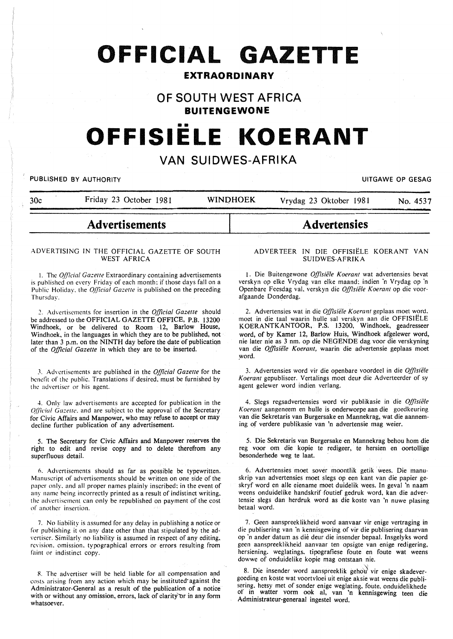# **OFFICIAL GAZETTE**

# **EXTRAORDINARY**

# **OF SOUTH WEST AFRICA**

**BUITENGEWONE** 

# **OFFISIELE KOERANT**

# **VAN SUIDWES-AFRIKA**

PUBLISHED BY AUTHORITY **EXECUTE A SECURE 2018 THE SECULIAR SECURE 2019 THE SECURE 2019 OF GESAG** 

30c Friday 23 October 1981 WINDHOEK Vrydag 23 Oktober 1981 No. 4537

# **Advertisements**

#### ADVERTISING IN THE OFFICIAL GAZETTE OF SOUTH WEST AFRICA

1. The *Official Gazette* Extraordinary containing advertisements is published on every Friday of each month: if those days fall on a Public Holiday, the *Official Gazette* is published on the preceding Thursday.

*2.* Advertisements for insertion in the *Official Gazette* should be addressed to the OFFICIAL GAZEITE OFFICE, P.B. 13200 Windhoek, or be delivered to Room 12, Barlow House, Windhoek, in the languages in which they are to be published, not later than 3 p.m. on the NINTH day before the date of publicatiqn of the *Official Gazette* in which they are to be inserted.

J. Advertisements arc published in the *Official Gazette* for the benefit of the public. Translations if desired. must be furnished by the advertiser or his agent.

4. Only law advertisements are accepted for publication in the *Qfficial Gazette. and are subject to the approval of the Secretary* for Civic Affairs and Manpower, who may refuse to accept or may decline further publication of any advertisement.

5. The Secretary for Civic Affairs and Manpower reserves the right to edit and revise copy and to delete therefrom any superfluous detail.

n. Advertisements should as far as possible be typewritten. Manuscript of advertisements should be written on one side of the paper only. and all proper names plainly inscribed: in the event of any name being incorrectly printed as a result of indistinct writing. the advertisement can only be republished on payment of the cost of another insertion.

7. No liability is assumed for any delay in publishing a notice or for publishing it on any date other than that stipulated by the advertiser. Similarly no liability is assumed in respect of any editing. revision. omission. typographical errors or errors resulting from faint or indistinct copy.

R. The advertiser will be held liable for all compensation and costs arising from any action which may be instituted against the Administrator-General as a result of the publication of a notice with or without any omission, errors, lack of clarity or in any form whatsoever.

#### ADVERTEER IN DIE OFFISIELE KOERANT VAN SUIDWES-AFRIKA

**Advertensies** 

1. Die Buitengewone *Offisiiile Koerant* wat advertensies bevat verskyn op elke Vrydag van elke maand: indien 'n Vrydag op 'n Openbare Feesdag val. verskyn die *Offisiiile Koerant* op die voorafgaande Donderdag.

2. Advertensies wat in die *Offisiële Koerant* geplaas moet word. moet in die taal waarin hulle sal verskyn aan die OFFISIELE KOERANTKANTOOR, P.S. 13200, Windhoek, geadresseer word, of by Kamer 12, Barlow Huis, Windhoek afgelewer word, nie later nie as 3 nm. op die NEGENDE dag voor die verskyning van die *Offisiiile Koerant,* waarin die advertensie geplaas moet word.

3. Advertensies word vir die openbare voordeel in die *Offisiele Koerant* gepubliseer. Vertalings moet deuf die Adverteerder of sy agent gelewer word indien verlang.

4. Slegs regsadvertensies word vir publikasie in die *Offisiele Koerant* aangeneem en hulle is onderworpe aan die goedkeuring van die Sekretaris van Burgersake en Mannekrag, wat die aanneming of verdere publikasie van 'n advertensie mag weier.

5. Die Sekretaris van Burgersake en Mannekrag behou hom die reg voor om die kopie te redigeer, te hersien en oortollige besonderhede weg te laat.

6. Advertensies moet sover moontlik getik wees. Die manuskrip van advertensies moet slegs op een kant van die papier geskryf word en aile eiename moet duidelik wees. In geval 'n naam weens onduidelike handskrif foutief gedruk word, kan die advertensie slegs dan herdruk word as die koste van 'n nuwe plasing betaal word.

7. Geen aanspreeklikheid word aanvaar vir enige vertraging in die publisering van 'n kennisgewing of vir die publisering daarvan op 'n ander datum as die deur die insender bepaal. Insgelyks word geen aanspreeklikheid aanvaar ten opsigte van enige redigering. hersiening. weglatings. tipografiese foute en foute wat weens dowwe of onduidelike kopie mag ontstaan nie.

8. Die insender word aanspreeklik gehou vir enige skadevergoeding en koste wat voortvloei uit enige aksie wat weens die publisering. hetsy met of sonder enige weglating. foute. onduidelikhede of in watter vorm ook at, van 'n kennisgewing teen die Administrateur-generaal ingestel word.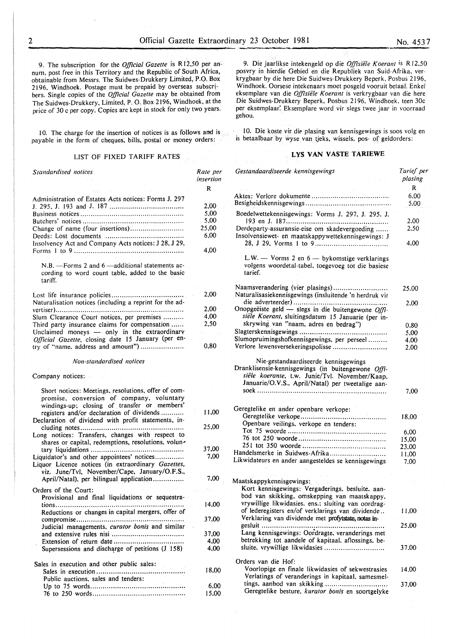9. The subscription for the *Official Gazette* is R 12,50 per annum, post free in this Territory and the Republic of South Africa, obtainable from Messrs. The Suidwes-Drukkery Limited, P.O. Box 2196, Windhoek. Postage must be prepaid by overseas subscribers. Single copies of the *Official Gazette* may be obtained from The Suidwes-Drukkery, Limited, P. 0. Box 2196, Windhoek, at the price of 30 c per copy. Copies are kept in stock for only two years.

10. The charge for the insertion of notices is as follows and is payable in the form of cheques, bills, postal or money orders:

#### LIST OF FIXED TARIFF RATES

| Standardised notices                                                                                                                                                                          | Rate per<br>insertion |
|-----------------------------------------------------------------------------------------------------------------------------------------------------------------------------------------------|-----------------------|
|                                                                                                                                                                                               | R                     |
| Administration of Estates Acts notices: Forms J. 297                                                                                                                                          |                       |
|                                                                                                                                                                                               | 2.00                  |
|                                                                                                                                                                                               | 5,00                  |
|                                                                                                                                                                                               | 5,00                  |
| Change of name (four insertions)                                                                                                                                                              | 25,00                 |
|                                                                                                                                                                                               | 6,00                  |
| Insolvency Act and Company Acts notices: J 28, J 29,                                                                                                                                          | 4,00                  |
| $N.B. -$ Forms 2 and 6 $-$ additional statements ac-<br>cording to word count table, added to the basic<br>tariff.                                                                            |                       |
|                                                                                                                                                                                               | 2,00                  |
| Naturalisation notices (including a reprint for the ad-                                                                                                                                       |                       |
|                                                                                                                                                                                               | 2,00                  |
| Slum Clearance Court notices, per premises                                                                                                                                                    | 4,00                  |
| Third party insurance claims for compensation                                                                                                                                                 | 2,50                  |
| Unclaimed moneys - only in the extraordinary                                                                                                                                                  |                       |
| Official Gazette, closing date 15 January (per en-                                                                                                                                            |                       |
| try of "name, address and amount")                                                                                                                                                            | 0,80                  |
| Non-standardised notices                                                                                                                                                                      |                       |
|                                                                                                                                                                                               |                       |
| Company notices:                                                                                                                                                                              |                       |
| Short notices: Meetings, resolutions, offer of com-<br>promise, conversion of company, voluntary<br>windings-up; closing of transfer or members'<br>registers and/or declaration of dividends | 11,00                 |
| Declaration of dividend with profit statements, in-<br>Long notices: Transfers, changes with respect to                                                                                       | 25,00                 |
| shares or capital, redemptions, resolutions, volun-                                                                                                                                           |                       |
|                                                                                                                                                                                               | 37,00                 |
| Liquidator's and other appointees' notices<br>Liquor Licence notices (in extraordinary Gazettes,<br>viz. June/Tvl, November/Cape, January/O.F.S.,                                             | 7,00                  |
| April/Natal), per bilingual application                                                                                                                                                       | 7.00                  |
| Orders of the Court:                                                                                                                                                                          |                       |
| Provisional and final liquidations or sequestra-                                                                                                                                              |                       |
|                                                                                                                                                                                               | 14,00                 |
| Reductions or changes in capital mergers, offer of                                                                                                                                            |                       |
|                                                                                                                                                                                               | 37.00                 |
| Judicial managements, curator bonis and similar                                                                                                                                               |                       |
|                                                                                                                                                                                               | 37,00                 |
|                                                                                                                                                                                               | 4,00                  |
| Supersessions and discharge of petitions (J 158)                                                                                                                                              | 4.00                  |
| Sales in execution and other public sales:                                                                                                                                                    |                       |
| Public auctions, sales and tenders:                                                                                                                                                           | 18,00                 |
|                                                                                                                                                                                               | 6,00                  |
|                                                                                                                                                                                               | 15.00                 |

9. Die jaarlikse intekengeld op die *Offisiele Koerant* is R *12.50*  posvry in hierdie Gebied en die Republiek van Suid-Afrika, verkrygbaar by die here Die Suidwes-Drukkery Beperk, Posbus 2196, Windhoek. Oorsese intekenaars moet posgeld vooruit betaal. Enkel eksemplare van die *Offisiele Koerant* is verkrygbaar van die here Die Suidwes-Drukkery Beperk, Posbus 2196, Windhoek. teen 30c per eksemplaar: Eksemplare word vir slegs twee jaar in voorraad gehou.

10. Die koste vir dir plasing van kennisgewings is soos volg en is betaalbaar by wyse van tjeks, wissels, pos- of geldorders:

# **L YS VAN V ASTE TARIEWE**

| Gestandaardiseerde kennisgewings                                                                                                                                                                  | Tarief per<br>plasing<br>R |
|---------------------------------------------------------------------------------------------------------------------------------------------------------------------------------------------------|----------------------------|
|                                                                                                                                                                                                   | 6.00<br>5.00               |
| Boedelwettekennisgewings: Vorms J. 297, J. 295, J.                                                                                                                                                |                            |
| 193 en J. 187<br>Derdeparty-assuransie-eise om skadevergoeding                                                                                                                                    | 2.00<br>2.50               |
| Insolvensiewet- en maatskappywettekennisgewings: J                                                                                                                                                | 4.00                       |
| L.W. $-$ Vorms 2 en $6 -$ by komstige verklarings<br>volgens woordetal-tabel, toegevoeg tot die basiese<br>tarief.                                                                                |                            |
| Naamsverandering (vier plasings)                                                                                                                                                                  | 25.00                      |
| Naturalisasiekennisgewings (insluitende 'n herdruk vir                                                                                                                                            |                            |
| Onopgeëiste geld - slegs in die buitengewone Offi-<br>siële Koerant, sluitingsdatum 15 Januarie (per in-                                                                                          | 2.00                       |
| skrywing van "naam, adres en bedrag")                                                                                                                                                             | 0.80                       |
|                                                                                                                                                                                                   | 5.00                       |
| Slumopruimingshofkennisgewings, per perseel                                                                                                                                                       | 4.00                       |
| Verlore lewensversekeringspolisse                                                                                                                                                                 | 2.00                       |
| Nie-gestandaardiseerde kennisgewings<br>Dranklisensie-kennisgewings (in buitengewone Offi-<br>siële koerante, t.w. Junie/Tvl. November/Kaap,<br>Januarie/O.V.S., April/Natal) per tweetalige aan- | 7.00                       |
| Geregtelike en ander openbare verkope:                                                                                                                                                            |                            |
| Openbare veilings, verkope en tenders:                                                                                                                                                            | 18.00                      |
|                                                                                                                                                                                                   | 6,00                       |
|                                                                                                                                                                                                   | 15,00                      |
|                                                                                                                                                                                                   | 23,00                      |
| Handelsmerke in Suidwes-Afrika                                                                                                                                                                    | 11,00                      |
| Likwidateurs en ander aangesteldes se kennisgewings                                                                                                                                               | 7.00                       |
| Maatskappykennisgewings:<br>Kort kennisgewings: Vergaderings, besluite, aan-<br>bod van skikking, omskepping van maatskappy.                                                                      |                            |
| vrywillige likwidasies, ens.; sluiting van oordrag-                                                                                                                                               |                            |
| of lederegisters en/of verklarings van dividende<br>Verklaring van dividende met profytstate, notas in-                                                                                           | 11.00                      |
| Lang kennisgewings: Oordragte, veranderings met<br>betrekking tot aandele of kapitaal, aflossings, be-                                                                                            | 25,00                      |
| sluite, vrywillige likwidasies                                                                                                                                                                    | 37.00                      |
| Orders van die Hof:                                                                                                                                                                               |                            |
| Voorlopige en finale likwidasies of sekwestrasies<br>Verlatings of veranderings in kapitaal, samesmel-                                                                                            | 14.00                      |
| tings. aanbod van skikking<br>Geregtelike besture, kurator bonis en soortgelyke                                                                                                                   | 37,00                      |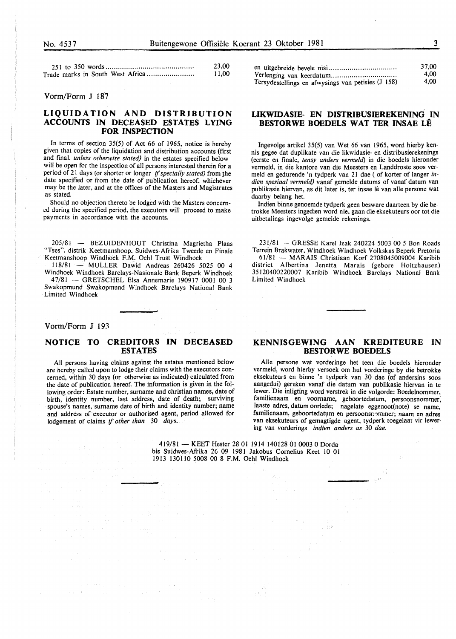|                                  | 23.00 |
|----------------------------------|-------|
| Trade marks in South West Africa | 11.00 |

#### Vorm/Form J 187

# **LIQUIDATION AND DISTRIBUTION ACCOUNTS IN DECEASED ESTATES LYING FOR INSPECTION**

In terms of section 35(5) of Act 66 of 1965, notice is hereby given that copies of the liquidation and distribution accounts (first and fmal. *unless otherwise stated)* in the estates specified below will be open for the inspection of all persons interested therein for a period of 21 days (or shorter or longer if specially stated) from the date specified or from the date of publication hereof, whichever may be the later, and at the offices of the Masters and Magistrates as stated.

Should no objection thereto be lodged with the Masters concerned during the specified period, the executors will proceed to make payments in accordance with the accounts.

205/81 - BEZUIDENHOUT Christina Magrietha Plaas "Tses", distrik Keetmanshoop, Suidwes-Afrika Tweede en Finale Keetmanshoop Windhoek F.M. Oehl Trust Windhoek

118/81 - MULLER Dawid Andreas 260426 5025 00 4 Windhoek Windhoek Barclays-Nasionale Bank Beperk Windhoek

47/81 - GRETSCHEL Elsa Annemarie 190917 0001 00 3 Swakopmund Swakopmund Windhoek Barclays National Bank Limited Windhoek

#### Vorm/Form J 193

# **NOTICE TO CREDITORS IN DECEASED ESTATES**

All persons having claims against the estates mentioned below are hereby called upon to lodge their claims with the executors concerned, within 30 days (or otherwise as indicated) calculated from the date of publication hereof. The information is given in the following order: Estate number, surname and christian names, date of birth, identity number, last address, date of death; surviving spouse's names, surname date of birth and identity number; name and address of executor or authorised agent, period allowed for lodgement of claims if *other than* 30 *days.* 

|                                                    | 37.00 |
|----------------------------------------------------|-------|
|                                                    | 4.00  |
| Tersydestellings en afwysings van petisies (J 158) | 4.00  |

# **LIKWIDASIE- EN DISTRIBUSIEREKENING IN BESTORWE BOEDELS WAT TER INSAE LÊ**

Ingevolge artikel 35(5) van Wet 66 van 1965, word hierby kennis gegee dat duplikate van die likwidasie- en distribusierekenings (eerste en finale, *tensy anders vermeld)* in die boedels hieronder vermeld, in die kantore van die Meesters en Landdroste soos vermeld en gedurende 'n tydperk van 21 dae (of korter of Ianger *indien spesiaal vermeld)* vanaf gemelde datums of vanaf datum van publikasie hiervan, as dit later is, ter insae lê van alle persone wat daarby belang het.

Indien binne genoemde tydperk geen besware daarteen by die betrokke Meesters ingedien word nie, gaan die eksekuteurs oor tot die uitbetalings ingevolge gemelde rekenings.

231/81 - GRESSE Karel Izak 240224 5003 00 5 Bon Roads Terrein Brakwater, Windhoek Windhoek Volkskas Beperk Pretoria 61/81 - MARAIS Christiaan Korf 2708045009004 Karibib district Albertina Jenetta Marais (gebore Holtzhausen) 35120400220007 Karibib Windhoek Barclays National Bank Limited Windhoek

## **KENNISGEWING AAN KREDITEURE IN BESTORWE BOEDELS**

Aile persone wat vorderinge het teen die boedels hieronder vermeld, word hierby versoek om hut vorderinge by die betrokke eksekuteurs en binne 'n tydperk van 30 dae (of andersins soos aangedui) gereken vanaf die datum van publikasie hiervan in te lewer. Die inligting word verstrek in die volgorde: Boedelnommer, familienaam en voorname, geboortedatum, persoonsnommer; laaste adres, datum oorlede; nagelate eggenoot(note) se name, familienaam, geboortedatum en persoonsnommer; naam en adres van eksekuteurs of gemagtigde agent, tydperk toegelaat vir lewering van vorderings *indien anders as* 30 *dae.* 

419/81 - KEET Hester 28 01 1914 140128 01 0003 0 Dordabis Suidwes-Afrika 26 09 1981 Jakobus Cornelius Keet 10 01 1913 130110 5008 00 8 F.M. Oehl Windhoek

af.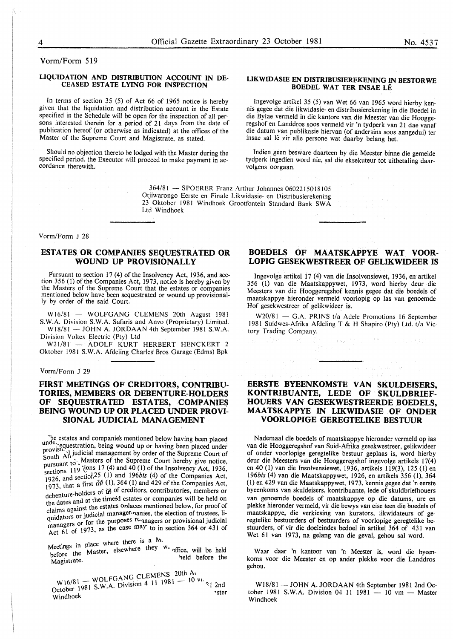Vorm/Form 519

#### **LIQUIDATION AND DISTRIBUTION ACCOUNT IN DE-CEASED ESTATE LYING FOR INSPECTION**

In terms of section 35 (5) of Act 66 of 1965 notice is hereby given that the liquidation and distribution account in the Estate specified in the Schedule will be open for the inspection of all persons interested therein for a period of 21 days from the date of publication hereof (or otherwise as indicated) at the offices of the Master of the Supreme Court and Magistrate, as stated.

Should no objection thereto be lodged with the Master during the specified period. the Executor will proceed to make payment in ac- cordance therewith.

#### **LIKWIDASIE EN DISTRIBUSIEREKENING IN BESTORWE BOEDEL WAT TER INSAE LE**

Ingevolge artikel 35 (5) van Wet 66 van 1965 word hierby kennis gegee dat die likwidasie- en distribusierekening in die Boedel in die Bylae vermeld in die kantore van die Meester van die Hooggeregshof en Landdros soos vermeld vir 'n tydperk van 21 dae vanaf die datum van publikasie hiervan (of andersins soos aangedui) ter insae sal le vir aile persone wat daarby belang het.

Indien geen besware daarteen by die Meester binne die gemelde tydperk ingedien word nie, sal die eksekuteur tot uitbetaling daarvolgens oorgaan.

364/81 - SPOERER Franz Arthur Johannes 0602215018105 Otjiwarongo Eerste en Finale Likwidasie- en Distribusierekening 23 Oktober 1981 Windhoek Grootfontein Standard Bank SW A Ltd Windhoek

Vorm/Form J 28

# **ESTATES OR COMPANIES SEQUESTRATED OR WOUND UP PROVISIONALLY**

Pursuant to section 17 (4) of the Insolvency Act, 1936, and section 356 (1) of the Companies Act, 1973, notice is hereby given by the Masters of the Supreme Court that the estates or companies mentioned below have been sequestrated or wound up provisionally by order of the said Court.

 $W16/81 - WOLFGANG CLEMENS 20th August 1981$ S.W.A. Division S.W.A. Safaris and Anvo (Proprietary) Limited. W18/81 - JOHN A. JORDAAN 4th September 1981 S.W.A.

Division Voltex Electric (Pty) Ltd

W21/81 - ADOLF KURT HERBERT HENCKERT 2 Oktober 1981 S. W.A. Afdeling Charles Bros Garage (Edms) Bpk

#### Vorm/Form J 29

# **FIRST MEETINGS OF CREDITORS, CONTRIBU-TORIES, MEMBERS OR DEBENTURE-HOLDERS OF SEQUESTRATED ESTATES, COMPANIES BEING WOUND UP OR PLACED UNDER PROVI-SIONAL JUDICIAL MANAGEMENT**

'he estates and companies mentioned below having been placed unde.<br>provisiv<sub>s1</sub> indicial means wound up or having been placed under<br>provisiv<sub>s1</sub> indicial measures in the provisivprovision and judicial management by order of the Supreme Court of South Att is Machinese Management by order of the Supreme Court of South Att  $\alpha$ . Masters of the Supreme Court hereby give notice, pursuant to:  $\alpha$  /(ons 17 (4) and 40 (1) of the Insolvency Act, 1936, sections  $\frac{125}{1926}$ , and section<sup>25</sup> (1) and *196bis* (4) of the Companies Act, 1926, and section  $\frac{56}{11}$  364 (1) and 429 of the Companies Act 1720, and  $\frac{1}{2}$  and  $\frac{1}{2}$  and 429 of the Companies Act, 1973, that a first  $\hat{n}\delta$  (1), 364 (1) and 429 of the Companies Act, debenture-holders of  $\hat{t}$  of creditors, contributories, members or debenture motions of the dates and at the timesd estates or companies will be held on the dates and the estates onlaces mentioned below, for proof of claims against the estates onlaces mentioned below, for proof of clantis against the contract members included below, for proof of<br>quidators or judicial managers, and the election of trustees, liquidators or Judicial managers or provisional judicial managers or for the purposes rt-anagers or provisional judicial managers of form the case may to in section  $364$  or  $431$  of Act 61 of  $1973$ , as the case may to in section  $364$  or  $431$  of

Meetings in place where there is a  $N_1$ .<br>Meetings the Master, elsewhere they  $W_1$  office, will be held before the masses,<br>
Magistrate.<br>
Magistrate.

W16/81 - WOLFGANG CLEMENS 20th Ac  $W_{10/01}^{10/01}$  S. W.A. Division 4 11  $1901$  $\frac{1}{\sqrt{2}}$  and  $\frac{1}{\sqrt{2}}$   $\frac{1}{\sqrt{2}}$   $\frac{1}{\sqrt{2}}$   $\frac{1}{\sqrt{2}}$   $\frac{1}{\sqrt{2}}$   $\frac{1}{\sqrt{2}}$   $\frac{1}{\sqrt{2}}$   $\frac{1}{\sqrt{2}}$   $\frac{1}{\sqrt{2}}$   $\frac{1}{\sqrt{2}}$   $\frac{1}{\sqrt{2}}$   $\frac{1}{\sqrt{2}}$   $\frac{1}{\sqrt{2}}$   $\frac{1}{\sqrt{2}}$   $\frac{1}{\sqrt{2}}$   $\frac{1}{\sqrt{$ 

# **BOEDELS OF MAATSKAPPYE WAT VOOR-LOPIG GESEKWESTREER OF GELIKWIDEER IS**

Ingevolge artikel 17 (4) van die Insolvensiewet, 1936, en artikel 356 (1) van die Maatskappywet, 1973, word hierby deur die Meesters van die Hooggeregshof kennis gegee dat die boedels of maatskappye hieronder vermeld voorlopig op las van genoemde Hof gesekwestreer of gelikwideer is.

W20/81 - G.A. PRINS t/a Adele Promotions 16 September 1981 Suidwes-Afrika Afdeling T & H Shapiro (Pty) Ltd. t/a Victory Trading Company.

# **EERSTE BYEENKOMSTE VAN SKULDEISERS, KONTRIBUANTE, LEDE OF SKULDBRIEF-HOUERS VAN GESEKWESTREERDE BOEDELS, MAA TSKAPPYE IN LIKWIDASIE OF ONDER VOORLOPIGE GEREGTELIKE BESTUUR**

Nademaal die boedels of maatskappye hieronder vermeld op las van die Hooggeregshof van Suid-Afrika gesekwestreer, gelikwideer of onder voorlopige geregtelike bestuur geplaas is, word hierby deur die Meesters van die Hooggeregshof ingevolge artikels 17(4) en 40 (I) van die Insolvensiewet, 1936, artikels 119(3), 125 (I) en *196bis* (4) van die Maatskappywet, 1926, en artikels 356 (1), 364 (1) en 429 van die Maatskappywet, 1973, kennis gegee dat 'n eerste byeenkoms van skuldeisers, kontribuante, lede of skuldbriefhouers van genoemde boedels of maatskappye op die datums, ure en plekke hieronder vermeld, vir die bewys van eise teen die boedels of maatskappye, die verkiesing van kurators, likwidateurs of geregtelike bestuurders of bestuurders of voorlopige geregtelike bestuurders, of vir die doeleindes bedoel in artikel 364 of 431 van Wet 61 van 1973, na gelang van die geval, gehou sal word.

Waar daar 'n kantoor van 'n Meester is, word die byeenkoms voor die Meester en op ander plekke voor die Landdros gehou.

W18/81 - JOHN A. JORDAAN 4th September 1981 2nd October 1981 S.W.A. Division 04 11 1981 - 10 vm - Master Windhoek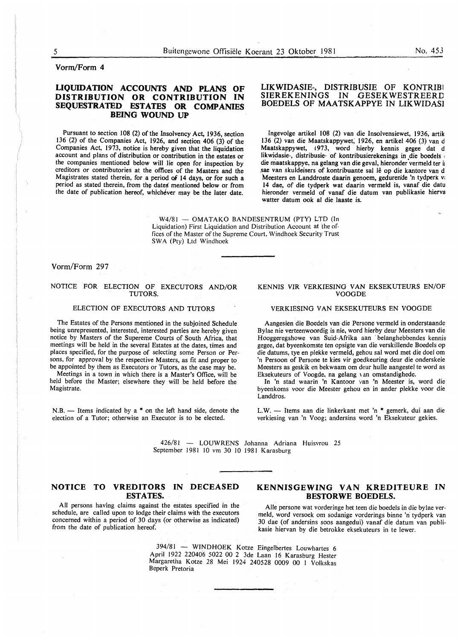# Vorm/Form 4

# LIQUIDATION ACCOUNTS AND PLANS OF DISTRIBUTION OR CONTRIBUTION IN SEQUESTRATED ESTATES OR COMPANIES BEING WOUND UP

Pursuant to section 108 (2) of the Insolvency Act, 1936, section 136 (2) of the Companies Act, 1926, and section 406 (3) of the Companies Act, 1973, notice is hereby given that the liquidation account and plans of distribution or contribution in the estates or the companies mentioned below will lie open for inspection by creditors or contributories at the offices of the Masters and the Magistrates stated therein, for a period of 14 days, or for such a period as stated therein, from the dates mentioned below or from the date of publication hereof, whichever may be the later date.

### LIKWIDASIE-, DISTRIBUSIE OF KONTRIB1 **GESEKWESTREERD** BOEDELS OF MAATSKAPPYE IN LIKWIDAS1

Ingevolge artikel 108 (2) van die Insolvensiewet, 1936, artik I 36 (2) van die Maatskappywet, 1926, en artikel 406 (3) van d Maatskappywet, 1973, word hierby kennis gegee dat d likwidasie-, distribusie- of kontribusierekenings in die boedels ' die maatskappye, na gelang van die geval, hieronder vermeld ter ij sae van skuldeisers of kontribuante sal lê op die kantore van d Meesters en Landdroste daarin genoem, gedurende 'n tydperk v: 14 dae, of die tydperk wat daarin vermeld is, vanaf die datu hieronder vermeld of vanaf die datum van publikasie hierva watter datum ook al die laaste is.

 $W4/81 - OMATAKO$  BANDESENTRUM (PTY) LTD (In Liquidation) First Liquidation and Distribution Account at the offices of the Master of the Supreme Court, Windhoek Security Trust SWA (Pty) Ltd Windhoek

### Vorm/Form 297

#### NOTICE FOR ELECTION OF EXECUTORS AND/OR TUTORS.

# ELECTION OF EXECUTORS AND TUTORS

The Estates of the Persons mentioned in the subjoined Schedule being unrepresented, interested, interested parties are hereby given notice by Masters of the Supereme Courts of South Africa, that meetings will be held in the several Estates at the dates, times and places specified, for the purpose of selecting some Person or Persons, for approval by the respective Masters, as fit and proper to be appointed by them as Executors or Tutors, as the case may be.

Meetings in a town in which there is a Master's Office, will be held before the Master; elsewhere they will be held before the Magistrate.

 $N.B.$  - Items indicated by a  $*$  on the left hand side, denote the election of a Tutor; otherwise an Executor is to be elected.

#### KENNIS VIR VERKIESING VAN EKSEKUTEURS EN/OF VOOGDE

#### VERKIESING VAN EKSEKUTEURS EN VOOGDE

Aangesien die Boedels van die Persone vermeld in onderstaande Bylae nie verteenwoordig is nie, word hierby deur Meesters van die Hooggeregshowe van Suid-Afrika aan · belanghebbendes kennis gegee, dat byeenkomste ten opsigte van die verskillende Boedels op die datums, tye en plekke vermeld, gehou sal word met die doe! om 'n Persoon of Persone te kies vir goedkeuring deur die onderskeie Meesters as geskik en bekwaam om deur bulle aangestel te word as Eksekuteurs of Voogde, na gelang van omstandighede.

In 'n stad waarin 'n Kantoor van 'n Meester is, word die byeenkoms voor die Meester gehou en in ander plekke voor die Landdros.

L.W. - Items aan die linkerkant met 'n \* gemerk, dui aan die verkiesing van 'n Voog; andersins word 'n Eksekuteur gekies.

426/81 - LOUWRENS Johanna Adriana Huisvrou 25 September 1981 10 vm 30 10 1981 K arasburg

## NOTICE TO VREDITORS IN DECEASED ESTATES.

All persons having claims against the estates specified in the schedule, are called upon to lodge their claims with the executors concerned within a period of 30 days (or otherwise as indicated) from the date of publication hereof.

# KENNISGEWING VAN KREDITEURE IN BESTORWE BOEDELS.

Aile persone wat vorderinge het teen die boedels in die bylae vermeld, word versoek om sodanige vorderings binne 'n tydperk van 30 dae (of andersins soos aangedui) vanaf die datum van publikasie hiervan by die betrokke eksekuteurs in te lewer.

394/81 - WINDHOEK Kotze Eingelbertes Louwhartes 6 April 1922 220406 5022 00 2 3de Laan 16 Karasburg Hester Margaretha Kotze 28 Mei 1924 240528 0009 00 I Volkskas Beperk Pretoria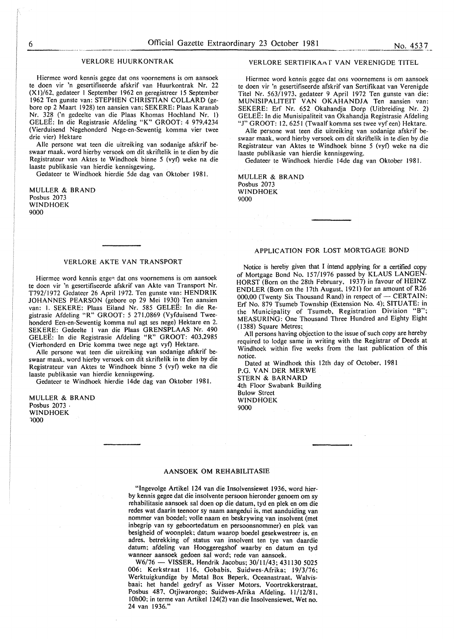#### VERLORE HUURKONTRAK

Hiermee word kennis gegee dat ons voornemens is om aansoek te doen vir 'n gesertifiseerde afskrif van Huurkontrak Nr. 22 (Xl)/62, gedateer I September 1962 en geregistreer 15 September 1962 Ten gunste van: STEPHEN CHRISTIAN COLLARD (gebore op 2 Maart 1928) ten aansien van; SEKERE: Plaas Karanab Nr. 328 ('n gedeelte van die Plaas Khomas Hochland Nr. I) GELEE: In die Registrasie Afdeling "K" GROOT: 4 979,4234 (Vierduisend Negehonderd Nege-en-Sewentig komma vier twee drie vier) Hektare

Aile persone wat teen die uitreiking van sodanige afskrif beswaar maak. word hierby versoek om dit skriftelik in te dien by die Registrateur van Aktes te Windhoek binne 5 (vyf) weke na die laaste publikasie van hierdie kennisgewing.

Gedateer te Windhoek hierdie 5de dag van Oktober 1981.

MULLER & BRAND Posbus 2073 WINDHOEK 9000

#### VERLORE AKTE VAN TRANSPORT

Hiermee word kennis gegee dat ons voornemens is om aansoek te doen vir 'n gesertifiseerde afskrif van Akte van Transport Nr. T792/1972 Gedateer 26 April 1972. Ten gunste van: HENDRIK JOHANNES PEARSON (gebore op 29 Mei 1930) Ten aansien van: I. SEKERE: Plaas Eiland Nr. 585 GELEE: In die Registrasie Afdeling "R" GROOT: 5 271,0869 (Vyfduisend Tweehonderd Een-en-Sewentig komma nul agt ses nege) Hektare en 2. SEKERE: Gedeelte I van die Plaas GRENSPLAAS Nr. 490 GELEE: In die Registrasie Afdeling "R" GROOT: 403,2985 (Vierhonderd en Drie komma twee nege agt vyf) Hektare.

Aile persone wat teen die uitreiking van sodanige afskrif beswaar maak, word hierby versoek om dit skriftelik in te dien by die Registrateur van Aktes te Windhoek binne 5 (vyf) weke na die laaste publikasie van hierdie kennisgewing.

Gedateer te Windhoek hierdie 14de dag van Oktober 1981.

MULLER & BRAND Posbus 2073 · WINDHOEK 1000

#### VERLORE SERTIFIKAAT VAN VERENIGDE TITEL

Hiermee word kennis gegee dat ons voornemens is om aansoek te doen vir 'n gesertifiseerde afskrif van Sertifikaat van Verenigde Titel Nr. 563/1973, gedateer 9 April 1972 Ten gunste van die: MUNISIPALITEIT VAN OKAHANDJA Ten aansien van: SEKERE: Erf Nr. 652 Okahandja Dorp (Uitbreiding Nr. 2) GELEE: In die Munisipaliteit van Okahandja Registrasie Afdeling "J" GROOT: 12. 6251 (Twaalf komma ses twee vyf een) Hektare.

Aile persone wat teen die uitreiking van sodanige afskrif beswaar maak, word hierby versoek om dit skriftelik in te dien by die Registrateur van Aktes te Windhoek binne 5 (vyf) weke na die laaste publikasie van hierdie kennisgewing.

Gedateer te Windhoek hierdie 14de dag van Oktober 1981.

MULLER & BRAND Posbus 2073 WINDHOEK 9000

#### APPLICATION FOR LOST MORTGAGE BOND

Notice is hereby given that I intend applying for a certified copy of Mortgage Bond No. 157/1976 passed by KLAUS LANGEN-HORST (Born on the 28th February, 1937) in favour of HEINZ ENDLER (Born on the 17th August, 1921) for an amount of R26 000,00 (Twenty Six Thousand Rand) in respect of  $-$  CERTAIN: Erf No. 879 Tsumeb Township (Extension No.4); SITUATE: in the Municipality of Tsumeb, Registration Division "B"; MEASURING: One Thousand Three Hundred and Eighty Eight ( 1388) Square Metres;

All persons having objection to the issue of such copy are hereby required to lodge same in writing with the Registrar of Deeds at Windhoek within five weeks from the last publication of this notice.

Dated at Windhoek this 12th day of October, 1981 P.O. VAN DER MER WE STERN & BARNARD 4th Floor Swabank Building

Bulow Street WINDHOEK 9000

# AANSOEK OM REHABILITASIE

"lngevolge Artikel 124 van die lnsolvensiewet 1936, word hierby kennis gegee dat die insolvente persoon hieronder genoem om sy rehabilitasie aansoek sal doen op die datum, tyd en plek en om die redes wat daarin teenoor sy naam aangedui is, met aanduiding van nommer van boedel; volle naam en beskrywing van insolvent (met inbegrip van sy geboortedatum en persoonsnommer) en plek van besigheid of woonplek: datum waarop boedel gesekwestreer is, en adres, betrekking of status van insolvent ten tye van daardie datum; afdeling van Hooggeregshof waarby en datum en tyd wanneer aansoek gedoen sal word; rede van aansoek.

W6/76 - VISSER, Hendrik Jacobus; 30/11/43; 431130 5025 006: Kerkstraat 116, Gobabis, Suidwes-Afrika; 19/3/76; Werktuigkundige by Metal Box Beperk. Oceanastraat. Walvisbaai: het handel gedryf as Visser Motors, Voortrekkerstraat, Posbus 487, Otjiwarongo: Suidwes-Afrika Afdeling. ll/12/81. IOhOO: in terme van Artikel 124(2) van die lnsolvensiewet. Wet no. 24 van 1936."